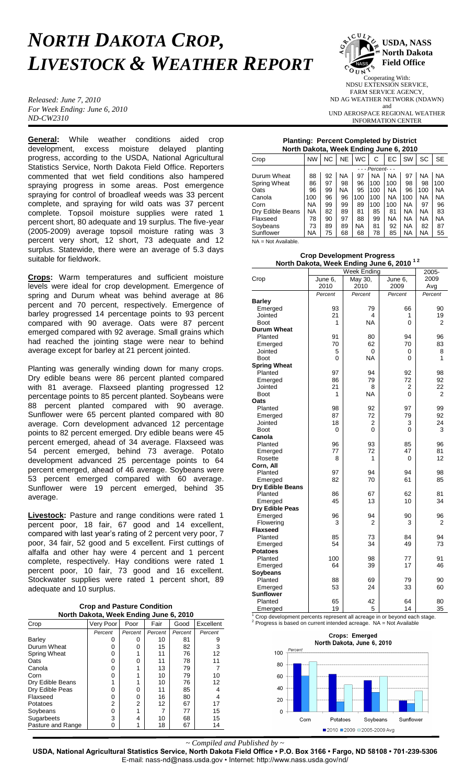## *NORTH DAKOTA CROP, LIVESTOCK & WEATHER REPORT*

*Released: June 7, 2010 For Week Ending: June 6, 2010 ND-CW2310*

**General:** While weather conditions aided crop development, excess moisture delayed planting progress, according to the USDA, National Agricultural Statistics Service, North Dakota Field Office. Reporters commented that wet field conditions also hampered spraying progress in some areas. Post emergence spraying for control of broadleaf weeds was 33 percent complete, and spraying for wild oats was 37 percent complete. Topsoil moisture supplies were rated 1 percent short, 80 adequate and 19 surplus. The five-year (2005-2009) average topsoil moisture rating was 3 percent very short, 12 short, 73 adequate and 12 surplus. Statewide, there were an average of 5.3 days suitable for fieldwork.

**Crops:** Warm temperatures and sufficient moisture levels were ideal for crop development. Emergence of spring and Durum wheat was behind average at 86 percent and 70 percent, respectively. Emergence of barley progressed 14 percentage points to 93 percent compared with 90 average. Oats were 87 percent emerged compared with 92 average. Small grains which had reached the jointing stage were near to behind average except for barley at 21 percent jointed.

Planting was generally winding down for many crops. Dry edible beans were 86 percent planted compared with 81 average. Flaxseed planting progressed 12 percentage points to 85 percent planted. Soybeans were 88 percent planted compared with 90 average. Sunflower were 65 percent planted compared with 80 average. Corn development advanced 12 percentage points to 82 percent emerged. Dry edible beans were 45 percent emerged, ahead of 34 average. Flaxseed was 54 percent emerged, behind 73 average. Potato development advanced 25 percentage points to 64 percent emerged, ahead of 46 average. Soybeans were 53 percent emerged compared with 60 average. Sunflower were 19 percent emerged, behind 35 average.

**Livestock:** Pasture and range conditions were rated 1 percent poor, 18 fair, 67 good and 14 excellent, compared with last year's rating of 2 percent very poor, 7 poor, 34 fair, 52 good and 5 excellent. First cuttings of alfalfa and other hay were 4 percent and 1 percent complete, respectively. Hay conditions were rated 1 percent poor, 10 fair, 73 good and 16 excellent. Stockwater supplies were rated 1 percent short, 89 adequate and 10 surplus.

| <b>Crop and Pasture Condition</b>      |  |
|----------------------------------------|--|
| North Dakota, Week Ending June 6, 2010 |  |

| Crop                | Very Poor | Poor    | Fair    | Good    | Excellent |
|---------------------|-----------|---------|---------|---------|-----------|
|                     | Percent   | Percent | Percent | Percent | Percent   |
| Barley              | Ω         | 0       | 10      | 81      |           |
| Durum Wheat         | ი         | ი       | 15      | 82      | 3         |
| <b>Spring Wheat</b> | 0         |         | 11      | 76      | 12        |
| Oats                | 0         | O       | 11      | 78      | 11        |
| Canola              | 0         |         | 13      | 79      |           |
| Corn                | ი         |         | 10      | 79      | 10        |
| Dry Edible Beans    |           |         | 10      | 76      | 12        |
| Dry Edible Peas     | 0         | 0       | 11      | 85      |           |
| Flaxseed            | 0         | 0       | 16      | 80      |           |
| Potatoes            | 2         | 2       | 12      | 67      | 17        |
| Soybeans            | 0         |         |         | 77      | 15        |
| Sugarbeets          | 3         | 4       | 10      | 68      | 15        |
| Pasture and Range   | 0         |         | 18      | 67      | 14        |



Cooperating With: NDSU EXTENSION SERVICE, FARM SERVICE AGENCY, ND AG WEATHER NETWORK (NDAWN) and UND AEROSPACE REGIONAL WEATHER INFORMATION CENTER

## **Planting: Percent Completed by District**

| North Dakota, Week Ending June 6, 2010 |                     |           |           |           |           |           |     |           |           |
|----------------------------------------|---------------------|-----------|-----------|-----------|-----------|-----------|-----|-----------|-----------|
| Crop                                   | <b>NW</b>           | <b>NC</b> | <b>NE</b> | <b>WC</b> | C         | EC        | SW  | SC        | <b>SE</b> |
|                                        | - - - Percent - - - |           |           |           |           |           |     |           |           |
| Durum Wheat                            | 88                  | 92        | ΝA        | 97        | <b>NA</b> | <b>NA</b> | 97  | NA        | <b>NA</b> |
| <b>Spring Wheat</b>                    | 86                  | 97        | 98        | 96        | 100       | 100       | 98  | 98        | 100       |
| Oats                                   | 96                  | 99        | <b>NA</b> | 95        | 100       | <b>NA</b> | 96  | 100       | <b>NA</b> |
| Canola                                 | 100                 | 96        | 96        | 100       | 100       | <b>NA</b> | 100 | NA.       | NA        |
| Corn                                   | NA.                 | 99        | 99        | 89        | 100       | 100       | NA. | 97        | 96        |
| Dry Edible Beans                       | NA.                 | 82        | 89        | 81        | 85        | 81        | NA. | NA        | 83        |
| Flaxseed                               | 78                  | 90        | 97        | 88        | 99        | <b>NA</b> | NA. | <b>NA</b> | NA        |
| Soybeans                               | 73                  | 89        | 89        | NA.       | 81        | 92        | NA  | 82        | 87        |
| Sunflower                              | NA.                 | 75        | 68        | 68        | 78        | 85        | NA. | <b>NA</b> | 55        |
| AIA – Not Availahle                    |                     |           |           |           |           |           |     |           |           |

A = Not Avai

|  | <b>Crop Development Progress</b>                     |  |
|--|------------------------------------------------------|--|
|  | North Dakota, Week Ending June 6, 2010 <sup>12</sup> |  |

|                     | Week Ending | 2005-     |         |         |
|---------------------|-------------|-----------|---------|---------|
| Crop                | June 6,     | May 30,   | June 6, | 2009    |
|                     | 2010        | 2010      | 2009    | Avg     |
|                     | Percent     | Percent   | Percent | Percent |
| <b>Barley</b>       |             |           |         |         |
| Emerged             | 93          | 79        | 66      | 90      |
| Jointed             | 21          | 4         | 1       | 19      |
| <b>Boot</b>         | 1           | <b>NA</b> | 0       | 2       |
| <b>Durum Wheat</b>  |             |           |         |         |
| Planted             | 91          | 80        | 94      | 96      |
| Emerged             | 70          | 62        | 70      | 83      |
| Jointed             | 5           | 0         | 0       | 8       |
| <b>Boot</b>         | 0           | <b>NA</b> | 0       | 1       |
| <b>Spring Wheat</b> |             |           |         |         |
| Planted             | 97          | 94        | 92      | 98      |
| Emerged             | 86          | 79        | 72      | 92      |
| Jointed             | 21          | 8         | 2       | 22      |
| <b>Boot</b>         | 1           | <b>NA</b> | 0       | 2       |
| Oats                |             |           |         |         |
| Planted             | 98          | 92        | 97      | 99      |
| Emerged             | 87          | 72        | 79      | 92      |
| Jointed             | 18          | 2         | 3       | 24      |
| <b>Boot</b>         | 0           | 0         | 0       | 3       |
| Canola              |             |           |         |         |
| Planted             | 96          | 93        | 85      | 96      |
| Emerged             | 77          | 72        | 47      | 81      |
| Rosette             | 8           | 1         | 0       | 12      |
| Corn, All           |             |           |         |         |
| Planted             | 97          | 94        | 94      | 98      |
| Emerged             | 82          | 70        | 61      | 85      |
| Dry Edible Beans    |             |           |         |         |
| Planted             | 86          | 67        | 62      | 81      |
| Emerged             | 45          | 13        | 10      | 34      |
| Dry Edible Peas     |             |           |         |         |
| Emerged             | 96          | 94        | 90      | 96      |
| Flowering           | 3           | 2         | 3       | 2       |
| <b>Flaxseed</b>     |             |           |         |         |
| Planted             | 85          | 73        | 84      | 94      |
| Emerged             | 54          | 34        | 49      | 73      |
| <b>Potatoes</b>     |             |           |         |         |
| Planted             | 100         | 98        | 77      | 91      |
| Emerged             | 64          | 39        | 17      | 46      |
| Soybeans            |             |           |         |         |
| Planted             | 88          | 69        | 79      | 90      |
| Emerged             | 53          | 24        | 33      | 60      |
| <b>Sunflower</b>    |             |           |         |         |
| Planted             | 65          | 42        | 64      | 80      |
| Emerged             | 19          | 5         | 14      | 35      |

Crop development percents represent all acreage in or beyond each stage.  $2^2$  Progress is based on current intended acreage. NA = Not Available



*~ Compiled and Published by ~*

**USDA, National Agricultural Statistics Service, North Dakota Field Office • P.O. Box 3166 • Fargo, ND 58108 • 701-239-5306** E-mail: nass-nd@nass.usda.gov • Internet: http://www.nass.usda.gov/nd/